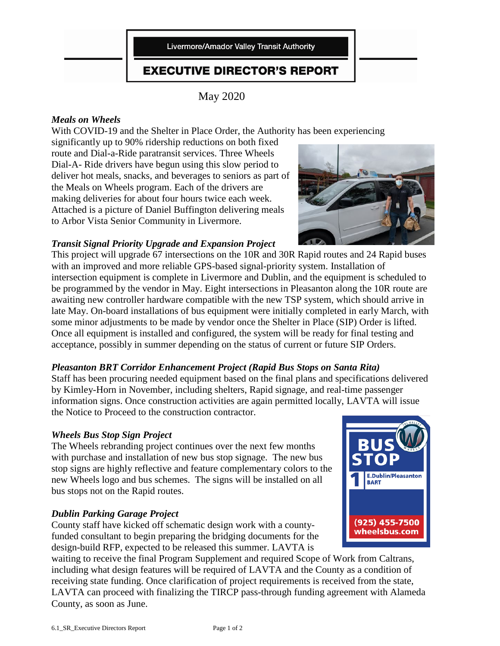Livermore/Amador Valley Transit Authority

### **EXECUTIVE DIRECTOR'S REPORT**

May 2020

### *Meals on Wheels*

With COVID-19 and the Shelter in Place Order, the Authority has been experiencing

significantly up to 90% ridership reductions on both fixed route and Dial-a-Ride paratransit services. Three Wheels Dial-A- Ride drivers have begun using this slow period to deliver hot meals, snacks, and beverages to seniors as part of the Meals on Wheels program. Each of the drivers are making deliveries for about four hours twice each week. Attached is a picture of Daniel Buffington delivering meals to Arbor Vista Senior Community in Livermore.

### *Transit Signal Priority Upgrade and Expansion Project*

This project will upgrade 67 intersections on the 10R and 30R Rapid routes and 24 Rapid buses with an improved and more reliable GPS-based signal-priority system. Installation of intersection equipment is complete in Livermore and Dublin, and the equipment is scheduled to be programmed by the vendor in May. Eight intersections in Pleasanton along the 10R route are awaiting new controller hardware compatible with the new TSP system, which should arrive in late May. On-board installations of bus equipment were initially completed in early March, with some minor adjustments to be made by vendor once the Shelter in Place (SIP) Order is lifted. Once all equipment is installed and configured, the system will be ready for final testing and acceptance, possibly in summer depending on the status of current or future SIP Orders.

### *Pleasanton BRT Corridor Enhancement Project (Rapid Bus Stops on Santa Rita)*

Staff has been procuring needed equipment based on the final plans and specifications delivered by Kimley-Horn in November, including shelters, Rapid signage, and real-time passenger information signs. Once construction activities are again permitted locally, LAVTA will issue the Notice to Proceed to the construction contractor.

### *Wheels Bus Stop Sign Project*

The Wheels rebranding project continues over the next few months with purchase and installation of new bus stop signage. The new bus stop signs are highly reflective and feature complementary colors to the new Wheels logo and bus schemes. The signs will be installed on all bus stops not on the Rapid routes.

### *Dublin Parking Garage Project*

County staff have kicked off schematic design work with a countyfunded consultant to begin preparing the bridging documents for the design-build RFP, expected to be released this summer. LAVTA is

waiting to receive the final Program Supplement and required Scope of Work from Caltrans, including what design features will be required of LAVTA and the County as a condition of receiving state funding. Once clarification of project requirements is received from the state, LAVTA can proceed with finalizing the TIRCP pass-through funding agreement with Alameda County, as soon as June.



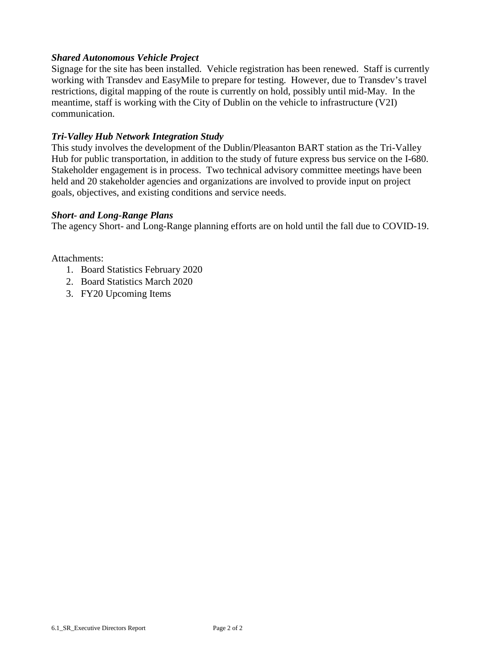### *Shared Autonomous Vehicle Project*

Signage for the site has been installed. Vehicle registration has been renewed. Staff is currently working with Transdev and EasyMile to prepare for testing. However, due to Transdev's travel restrictions, digital mapping of the route is currently on hold, possibly until mid-May. In the meantime, staff is working with the City of Dublin on the vehicle to infrastructure (V2I) communication.

### *Tri-Valley Hub Network Integration Study*

This study involves the development of the Dublin/Pleasanton BART station as the Tri-Valley Hub for public transportation, in addition to the study of future express bus service on the I-680. Stakeholder engagement is in process. Two technical advisory committee meetings have been held and 20 stakeholder agencies and organizations are involved to provide input on project goals, objectives, and existing conditions and service needs.

#### *Short- and Long-Range Plans*

The agency Short- and Long-Range planning efforts are on hold until the fall due to COVID-19.

Attachments:

- 1. Board Statistics February 2020
- 2. Board Statistics March 2020
- 3. FY20 Upcoming Items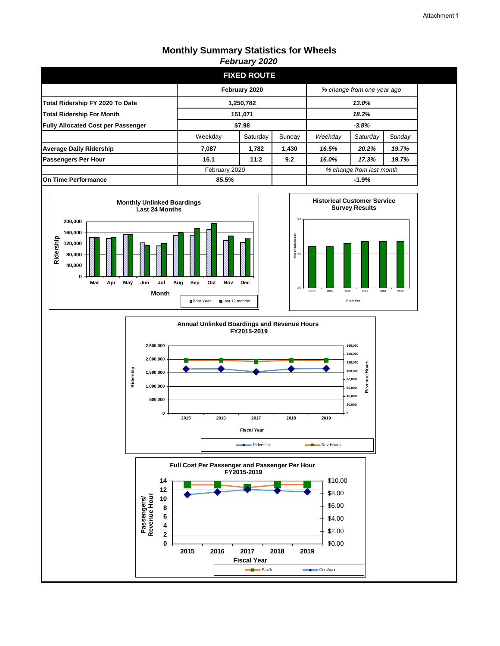|                                           |                    | <b>FIXED ROUTE</b> |        |                          |                            |        |
|-------------------------------------------|--------------------|--------------------|--------|--------------------------|----------------------------|--------|
|                                           |                    | February 2020      |        |                          | % change from one year ago |        |
| Total Ridership FY 2020 To Date           | 1,250,782<br>13.0% |                    |        |                          |                            |        |
| <b>Total Ridership For Month</b>          | 151,071<br>18.2%   |                    |        |                          |                            |        |
| <b>Fully Allocated Cost per Passenger</b> | \$7.98             |                    |        | $-3.8%$                  |                            |        |
|                                           | Weekday            | Saturday           | Sunday | Weekday                  | Saturday                   | Sunday |
| <b>Average Daily Ridership</b>            | 7,087              | 1,782              | 1,430  | 16.5%                    | 20.2%                      | 19.7%  |
| <b>Passengers Per Hour</b>                | 16.1               | 11.2               | 9.2    | 16.0%                    | 17.3%                      | 19.7%  |
|                                           | February 2020      |                    |        | % change from last month |                            |        |
| On Time Performance                       | 85.5%<br>$-1.9%$   |                    |        |                          |                            |        |







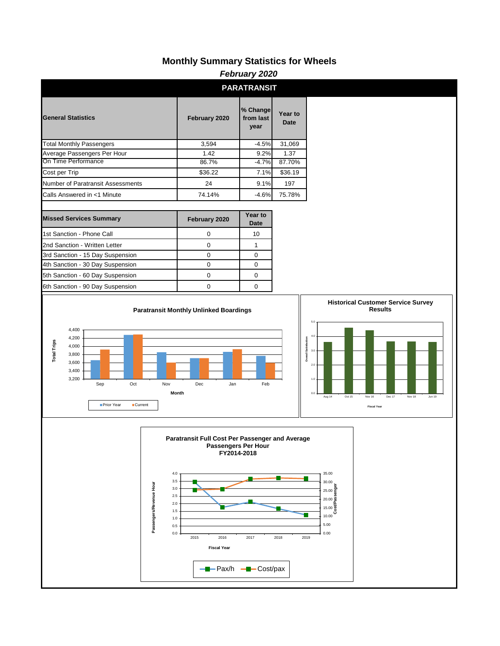|                    | February 2020                                               |                                   |                         |                                                                 |                                                                                       |                                                                  |                 |                                                                                                                                                                                                   |
|--------------------|-------------------------------------------------------------|-----------------------------------|-------------------------|-----------------------------------------------------------------|---------------------------------------------------------------------------------------|------------------------------------------------------------------|-----------------|---------------------------------------------------------------------------------------------------------------------------------------------------------------------------------------------------|
|                    |                                                             |                                   |                         |                                                                 |                                                                                       | <b>PARATRANSIT</b>                                               |                 |                                                                                                                                                                                                   |
|                    | <b>General Statistics</b>                                   |                                   |                         |                                                                 | February 2020                                                                         | % Change<br>from last<br>year                                    | Year to<br>Date |                                                                                                                                                                                                   |
|                    |                                                             | <b>Total Monthly Passengers</b>   |                         |                                                                 | 3,594                                                                                 | $-4.5%$                                                          | 31,069          |                                                                                                                                                                                                   |
|                    |                                                             | Average Passengers Per Hour       |                         |                                                                 | 1.42                                                                                  | 9.2%                                                             | 1.37            |                                                                                                                                                                                                   |
|                    | On Time Performance                                         |                                   |                         |                                                                 | 86.7%                                                                                 | $-4.7%$                                                          | 87.70%          |                                                                                                                                                                                                   |
| Cost per Trip      |                                                             |                                   |                         |                                                                 | \$36.22                                                                               | 7.1%                                                             | \$36.19         |                                                                                                                                                                                                   |
|                    |                                                             | Number of Paratransit Assessments |                         |                                                                 | 24                                                                                    | 9.1%                                                             | 197             |                                                                                                                                                                                                   |
|                    |                                                             | Calls Answered in <1 Minute       |                         |                                                                 | 74.14%                                                                                | $-4.6%$                                                          | 75.78%          |                                                                                                                                                                                                   |
|                    |                                                             | <b>Missed Services Summary</b>    |                         |                                                                 | February 2020                                                                         | Year to<br>Date                                                  |                 |                                                                                                                                                                                                   |
|                    |                                                             | 1st Sanction - Phone Call         |                         |                                                                 | $\mathbf 0$                                                                           | 10                                                               |                 |                                                                                                                                                                                                   |
|                    |                                                             | 2nd Sanction - Written Letter     |                         |                                                                 | 0                                                                                     | $\mathbf{1}$                                                     |                 |                                                                                                                                                                                                   |
|                    |                                                             | 3rd Sanction - 15 Day Suspension  |                         |                                                                 | 0                                                                                     | $\mathbf 0$                                                      |                 |                                                                                                                                                                                                   |
|                    |                                                             | 4th Sanction - 30 Day Suspension  |                         |                                                                 | 0                                                                                     | $\mathbf 0$                                                      |                 |                                                                                                                                                                                                   |
|                    |                                                             | 5th Sanction - 60 Day Suspension  |                         |                                                                 | 0                                                                                     | $\mathbf 0$                                                      |                 |                                                                                                                                                                                                   |
|                    |                                                             | 6th Sanction - 90 Day Suspension  |                         |                                                                 | 0                                                                                     | $\mathbf 0$                                                      |                 |                                                                                                                                                                                                   |
| <b>Total Trips</b> | 4,400<br>4,200<br>4,000<br>3,800<br>3,600<br>3,400<br>3,200 | Sep<br>Prior Year                 | Oct<br><b>Current</b>   | Nov<br>Month                                                    | <b>Paratransit Monthly Unlinked Boardings</b><br>Dec                                  | Jan<br>Feb                                                       |                 | <b>Results</b><br>5.0<br>4.0<br><b>Overall Satisfaction</b><br>$3.0\,$<br>$2.0\,$<br>$1.0\,$<br>$_{0.0}$<br>Aug 14<br>Oct 15<br>Nov 16<br>Dec 17<br>Nov 18<br><b>Jun 19</b><br><b>Fiscal Year</b> |
|                    |                                                             |                                   | Passengers/Revenue Hour | $4.0\,$<br>3.5<br>3.0<br>2.5<br>2.0<br>1.5<br>1.0<br>0.5<br>0.0 | Paratransit Full Cost Per Passenger and Average<br>2015<br>2016<br><b>Fiscal Year</b> | Passengers Per Hour<br>FY2014-2018<br>2017<br>- Pax/h - Cost/pax | 2018            | 35.00<br>30.00<br>눕<br>$25.00\frac{5}{9}$<br>$20.00\%$<br>$15.00\frac{15}{6}$<br>10.00<br>5.00<br>0.00<br>2019                                                                                    |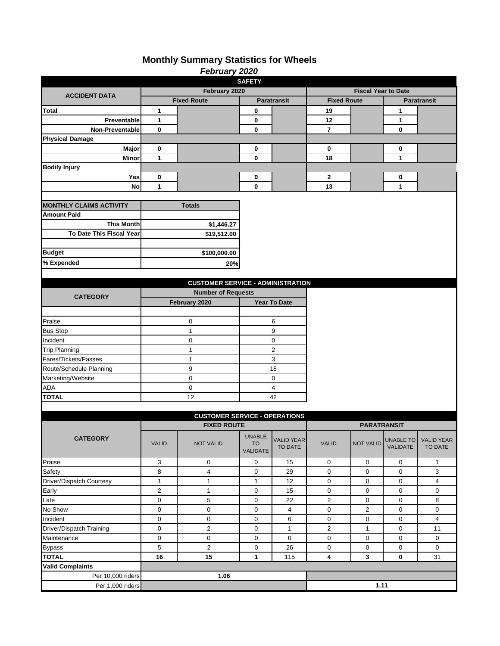|                                |                | <b>February 2020</b>                     |                                 |                              |                            |                    |                              |                              |  |  |
|--------------------------------|----------------|------------------------------------------|---------------------------------|------------------------------|----------------------------|--------------------|------------------------------|------------------------------|--|--|
|                                |                |                                          | <b>SAFETY</b>                   |                              |                            |                    |                              |                              |  |  |
| <b>ACCIDENT DATA</b>           | February 2020  |                                          |                                 |                              | <b>Fiscal Year to Date</b> |                    |                              |                              |  |  |
|                                |                | <b>Fixed Route</b>                       | Paratransit                     |                              | <b>Fixed Route</b>         |                    |                              | <b>Paratransit</b>           |  |  |
| <b>Total</b>                   | 1              |                                          | 0                               |                              | 19                         |                    | 1                            |                              |  |  |
| Preventable                    | 1              |                                          | 0                               |                              | 12                         |                    | 1                            |                              |  |  |
| <b>Non-Preventable</b>         | 0              |                                          | $\mathbf 0$                     |                              | $\overline{7}$             |                    | 0                            |                              |  |  |
| <b>Physical Damage</b>         |                |                                          |                                 |                              |                            |                    |                              |                              |  |  |
| Major                          | 0              |                                          | 0                               |                              | 0                          |                    | 0                            |                              |  |  |
| Minor                          | 1              |                                          | $\mathbf 0$                     |                              | 18                         |                    | 1                            |                              |  |  |
| <b>Bodily Injury</b>           |                |                                          |                                 |                              |                            |                    |                              |                              |  |  |
| Yes                            | 0              |                                          | 0                               |                              | $\mathbf{2}$               |                    | 0                            |                              |  |  |
| <b>No</b>                      | 1              |                                          | $\mathbf 0$                     |                              | 13                         |                    | $\mathbf{1}$                 |                              |  |  |
|                                |                |                                          |                                 |                              |                            |                    |                              |                              |  |  |
| <b>MONTHLY CLAIMS ACTIVITY</b> |                | <b>Totals</b>                            |                                 |                              |                            |                    |                              |                              |  |  |
| <b>Amount Paid</b>             |                |                                          |                                 |                              |                            |                    |                              |                              |  |  |
| <b>This Month</b>              |                | \$1,446.27                               |                                 |                              |                            |                    |                              |                              |  |  |
| To Date This Fiscal Year       |                | \$19,512.00                              |                                 |                              |                            |                    |                              |                              |  |  |
|                                |                |                                          |                                 |                              |                            |                    |                              |                              |  |  |
| <b>Budget</b>                  |                | \$100,000.00                             |                                 |                              |                            |                    |                              |                              |  |  |
| % Expended                     |                |                                          |                                 |                              |                            |                    |                              |                              |  |  |
|                                |                | 20%                                      |                                 |                              |                            |                    |                              |                              |  |  |
|                                |                |                                          |                                 |                              |                            |                    |                              |                              |  |  |
|                                |                | <b>CUSTOMER SERVICE - ADMINISTRATION</b> |                                 |                              |                            |                    |                              |                              |  |  |
| <b>CATEGORY</b>                |                | <b>Number of Requests</b>                |                                 |                              |                            |                    |                              |                              |  |  |
|                                |                | February 2020                            |                                 | <b>Year To Date</b>          |                            |                    |                              |                              |  |  |
|                                |                |                                          |                                 |                              |                            |                    |                              |                              |  |  |
| Praise                         |                | 0                                        |                                 | 6                            |                            |                    |                              |                              |  |  |
| <b>Bus Stop</b>                |                | $\mathbf{1}$                             |                                 | 9                            |                            |                    |                              |                              |  |  |
| Incident                       |                | 0                                        | 0                               |                              |                            |                    |                              |                              |  |  |
| <b>Trip Planning</b>           |                | 1                                        | $\overline{c}$                  |                              |                            |                    |                              |                              |  |  |
| Fares/Tickets/Passes           |                | $\mathbf{1}$                             | 3                               |                              |                            |                    |                              |                              |  |  |
| Route/Schedule Planning        |                | 9                                        | 18                              |                              |                            |                    |                              |                              |  |  |
| Marketing/Website              |                | 0                                        | 0                               |                              |                            |                    |                              |                              |  |  |
| ADA                            |                | 0                                        | 4                               |                              |                            |                    |                              |                              |  |  |
| <b>TOTAL</b>                   |                | 12                                       |                                 | 42                           |                            |                    |                              |                              |  |  |
|                                |                |                                          |                                 |                              |                            |                    |                              |                              |  |  |
|                                |                | <b>CUSTOMER SERVICE - OPERATIONS</b>     |                                 |                              |                            |                    |                              |                              |  |  |
|                                |                | <b>FIXED ROUTE</b>                       |                                 |                              |                            | <b>PARATRANSIT</b> |                              |                              |  |  |
| <b>CATEGORY</b>                | <b>VALID</b>   | <b>NOT VALID</b>                         | UNABLE<br><b>TO</b><br>VALIDATE | <b>VALID YEAR</b><br>TO DATE | <b>VALID</b>               | <b>NOT VALID</b>   | <b>UNABLE TO</b><br>VALIDATE | <b>VALID YEAR</b><br>TO DATE |  |  |
| Praise                         | 3              | 0                                        | 0                               | 15                           | $\mathbf 0$                | 0                  | 0                            | $\mathbf{1}$                 |  |  |
| Safety                         | 8              | $\overline{4}$                           | $\mathbf 0$                     | 29                           | 0                          | 0                  | 0                            | 3                            |  |  |
| Driver/Dispatch Courtesy       | $\mathbf{1}$   | $\mathbf 1$                              | $\mathbf{1}$                    | 12                           | $\mathbf 0$                | 0                  | 0                            | $\overline{4}$               |  |  |
| Early                          | $\overline{2}$ | $\mathbf 1$                              | 0                               | 15                           | $\mathbf 0$                | 0                  | 0                            | $\mathbf 0$                  |  |  |
| Late                           | 0              | $\mathbf 5$                              | 0                               | 22                           | $\overline{\mathbf{c}}$    | 0                  | 0                            | 8                            |  |  |
| No Show                        | 0              | $\pmb{0}$                                | 0                               | $\overline{4}$               | $\pmb{0}$                  | $\overline{2}$     | 0                            | $\mathbf 0$                  |  |  |
| Incident                       | 0              | 0                                        | 0                               | 6                            | $\mathbf 0$                | $\boldsymbol{0}$   | 0                            | $\overline{4}$               |  |  |
| Driver/Dispatch Training       | 0              | $\overline{c}$                           | 0                               | $\mathbf{1}$                 | $\overline{c}$             | $\mathbf{1}$       | 0                            | 11                           |  |  |
| Maintenance                    | 0              | 0                                        | 0                               | $\mathsf{O}\xspace$          | $\mathsf 0$                | 0                  | 0                            | 0                            |  |  |
| <b>Bypass</b>                  | 5              | $\overline{c}$                           | 0                               | 26                           | $\mathbf 0$                | 0                  | 0                            | 0                            |  |  |
| <b>TOTAL</b>                   | 16             | 15                                       | 1                               | 115                          | 4                          | 3                  | 0                            | 31                           |  |  |
| <b>Valid Complaints</b>        |                |                                          |                                 |                              |                            |                    |                              |                              |  |  |
| Per 10,000 riders              |                | 1.06                                     |                                 |                              |                            |                    |                              |                              |  |  |
|                                |                |                                          |                                 |                              |                            |                    |                              |                              |  |  |
| Per 1,000 riders               |                |                                          |                                 |                              |                            | 1.11               |                              |                              |  |  |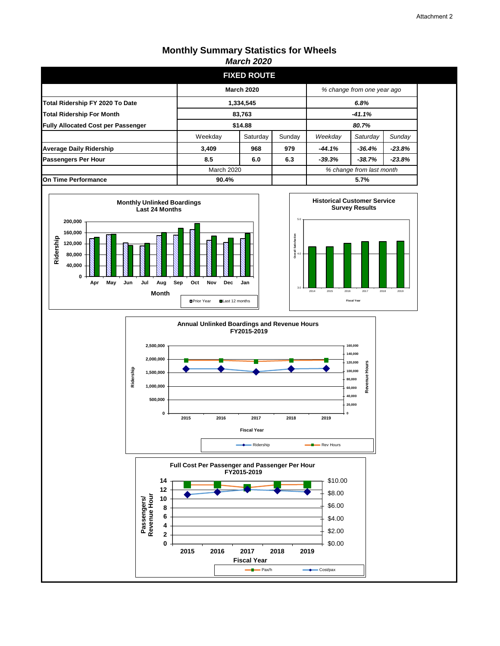|                                           |                    | 11141 VII LVLV     |        |                          |                            |          |
|-------------------------------------------|--------------------|--------------------|--------|--------------------------|----------------------------|----------|
|                                           |                    | <b>FIXED ROUTE</b> |        |                          |                            |          |
|                                           |                    | <b>March 2020</b>  |        |                          | % change from one year ago |          |
| Total Ridership FY 2020 To Date           | 1,334,545<br>6.8%  |                    |        |                          |                            |          |
| <b>Total Ridership For Month</b>          | 83,763<br>$-41.1%$ |                    |        |                          |                            |          |
| <b>Fully Allocated Cost per Passenger</b> | \$14.88            |                    |        | 80.7%                    |                            |          |
|                                           | Weekday            | Saturday           | Sunday | Weekday                  | Saturday                   | Sunday   |
| <b>Average Daily Ridership</b>            | 3,409              | 968                | 979    | $-44.1%$                 | $-36.4%$                   | $-23.8%$ |
| <b>Passengers Per Hour</b>                | 8.5                | 6.0                | 6.3    | $-39.3%$                 | $-38.7%$                   | $-23.8%$ |
|                                           | March 2020         |                    |        | % change from last month |                            |          |
| On Time Performance                       | 5.7%<br>90.4%      |                    |        |                          |                            |          |







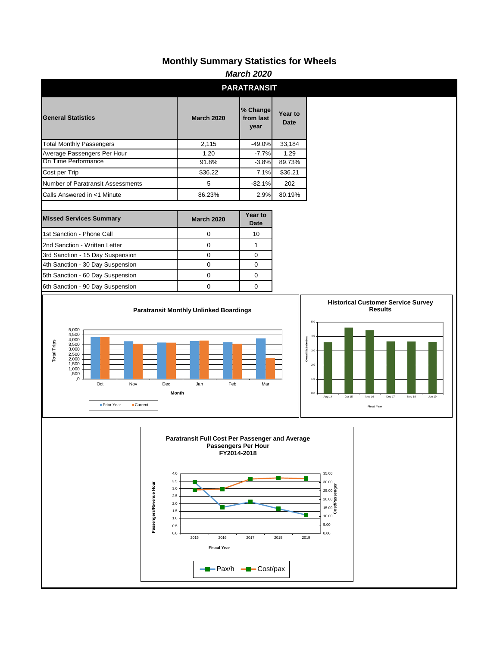|                                                                                                                                                                  |                                                                                                                                                                              | <b>March 2020</b>                          |                        |                                                                                                                                                         |
|------------------------------------------------------------------------------------------------------------------------------------------------------------------|------------------------------------------------------------------------------------------------------------------------------------------------------------------------------|--------------------------------------------|------------------------|---------------------------------------------------------------------------------------------------------------------------------------------------------|
|                                                                                                                                                                  |                                                                                                                                                                              | <b>PARATRANSIT</b>                         |                        |                                                                                                                                                         |
| <b>General Statistics</b>                                                                                                                                        | <b>March 2020</b>                                                                                                                                                            | % Change<br>from last<br>year              | Year to<br><b>Date</b> |                                                                                                                                                         |
| <b>Total Monthly Passengers</b>                                                                                                                                  | 2,115                                                                                                                                                                        | $-49.0%$                                   | 33,184                 |                                                                                                                                                         |
| Average Passengers Per Hour                                                                                                                                      | 1.20                                                                                                                                                                         | $-7.7%$                                    | 1.29                   |                                                                                                                                                         |
| On Time Performance                                                                                                                                              | 91.8%                                                                                                                                                                        | $-3.8%$                                    | 89.73%                 |                                                                                                                                                         |
| Cost per Trip                                                                                                                                                    | \$36.22                                                                                                                                                                      | 7.1%                                       | \$36.21                |                                                                                                                                                         |
| Number of Paratransit Assessments                                                                                                                                | 5                                                                                                                                                                            | $-82.1%$                                   | 202                    |                                                                                                                                                         |
| Calls Answered in <1 Minute                                                                                                                                      | 86.23%                                                                                                                                                                       | 2.9%                                       | 80.19%                 |                                                                                                                                                         |
| <b>Missed Services Summary</b>                                                                                                                                   | <b>March 2020</b>                                                                                                                                                            | Year to<br>Date                            |                        |                                                                                                                                                         |
| 1st Sanction - Phone Call                                                                                                                                        | $\mathbf 0$                                                                                                                                                                  | 10                                         |                        |                                                                                                                                                         |
| 2nd Sanction - Written Letter                                                                                                                                    | $\pmb{0}$                                                                                                                                                                    | $\mathbf{1}$                               |                        |                                                                                                                                                         |
| 3rd Sanction - 15 Day Suspension                                                                                                                                 | $\pmb{0}$                                                                                                                                                                    | $\mathbf 0$                                |                        |                                                                                                                                                         |
| 4th Sanction - 30 Day Suspension                                                                                                                                 | $\pmb{0}$                                                                                                                                                                    | $\pmb{0}$                                  |                        |                                                                                                                                                         |
| 5th Sanction - 60 Day Suspension                                                                                                                                 | $\pmb{0}$                                                                                                                                                                    | $\mathbf 0$                                |                        |                                                                                                                                                         |
| 6th Sanction - 90 Day Suspension                                                                                                                                 | $\mathbf 0$                                                                                                                                                                  | $\mathbf 0$                                |                        |                                                                                                                                                         |
| 5,000<br>4,500<br>4,000<br><b>Total Trips</b><br>3,500<br>3,000<br>2,500<br>2,000<br>1,500<br>1,000<br>,500<br>, 0<br>Oct<br>Nov<br>Prior Year<br><b>Current</b> | Dec<br>Feb<br>Jan<br>Month                                                                                                                                                   | Mar                                        |                        | 5.0<br>4.0<br><b>Overall Satisfaction</b><br>3.0<br>2.0<br>1.0<br>0.0<br>Aug 14<br>Oct 15<br>Dec 17<br>Nov 18<br>Jun 19<br>Nov 16<br><b>Fiscal Year</b> |
| Passengers/Revenue Hour                                                                                                                                          | Paratransit Full Cost Per Passenger and Average<br>4.0<br>3.5<br>3.0<br>2.5<br>2.0<br>1.5<br>$1.0$<br>0.5<br>0.0<br>2015<br>2016<br><b>Fiscal Year</b><br>- Pax/h - Cost/pax | Passengers Per Hour<br>FY2014-2018<br>2017 | 2018<br>2019           | 35.00<br>30.00<br>à<br>$25.00\frac{5}{9}$<br>$20.00\frac{8}{5}$<br>$\frac{15.00}{8}$<br>10.00<br>5.00<br>0.00                                           |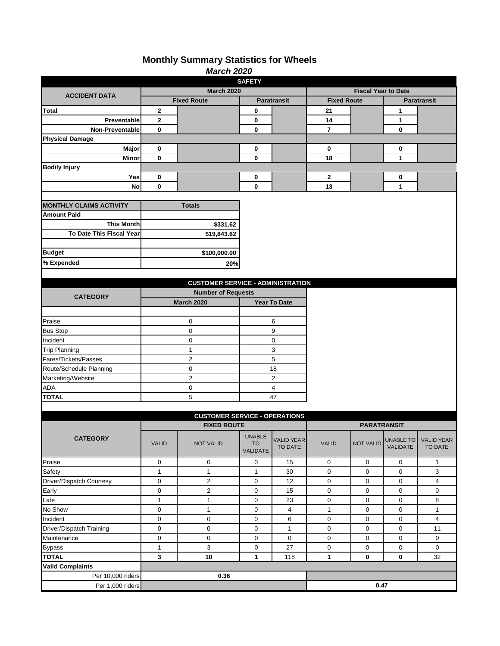|                                |                | <b>March 2020</b>                        |                       |                     |                    |                            |           |                    |
|--------------------------------|----------------|------------------------------------------|-----------------------|---------------------|--------------------|----------------------------|-----------|--------------------|
|                                |                |                                          | <b>SAFETY</b>         |                     |                    |                            |           |                    |
| <b>ACCIDENT DATA</b>           |                | <b>March 2020</b>                        |                       |                     |                    | <b>Fiscal Year to Date</b> |           |                    |
|                                |                | <b>Fixed Route</b>                       | Paratransit           |                     | <b>Fixed Route</b> |                            |           | <b>Paratransit</b> |
| Total                          | 2              |                                          | 0                     |                     | 21                 |                            | 1         |                    |
| Preventable                    | $\mathbf 2$    |                                          | 0                     |                     | 14                 |                            | 1         |                    |
| <b>Non-Preventable</b>         | 0              |                                          | $\bf{0}$              |                     | $\overline{7}$     |                            | 0         |                    |
| <b>Physical Damage</b>         |                |                                          |                       |                     |                    |                            |           |                    |
| Major                          | 0              |                                          | 0                     |                     | 0                  |                            | 0         |                    |
| Minor                          | $\mathbf 0$    |                                          | $\bf{0}$              |                     | 18                 |                            | 1         |                    |
| <b>Bodily Injury</b>           |                |                                          |                       |                     |                    |                            |           |                    |
| Yes                            | 0              |                                          | 0                     |                     | 2                  |                            | 0         |                    |
| <b>No</b>                      | 0              |                                          | $\mathbf 0$           |                     | 13                 |                            | 1         |                    |
|                                |                |                                          |                       |                     |                    |                            |           |                    |
| <b>MONTHLY CLAIMS ACTIVITY</b> |                | <b>Totals</b>                            |                       |                     |                    |                            |           |                    |
| <b>Amount Paid</b>             |                |                                          |                       |                     |                    |                            |           |                    |
| <b>This Month</b>              |                | \$331.62                                 |                       |                     |                    |                            |           |                    |
| To Date This Fiscal Year       |                | \$19,843.62                              |                       |                     |                    |                            |           |                    |
|                                |                |                                          |                       |                     |                    |                            |           |                    |
| <b>Budget</b>                  |                | \$100,000.00                             |                       |                     |                    |                            |           |                    |
| % Expended                     |                | 20%                                      |                       |                     |                    |                            |           |                    |
|                                |                |                                          |                       |                     |                    |                            |           |                    |
|                                |                | <b>CUSTOMER SERVICE - ADMINISTRATION</b> |                       |                     |                    |                            |           |                    |
|                                |                |                                          |                       |                     |                    |                            |           |                    |
| <b>CATEGORY</b>                |                | <b>Number of Requests</b>                |                       |                     |                    |                            |           |                    |
|                                |                | <b>March 2020</b>                        |                       | <b>Year To Date</b> |                    |                            |           |                    |
|                                |                |                                          |                       |                     |                    |                            |           |                    |
| Praise<br>0                    |                |                                          |                       | 6                   |                    |                            |           |                    |
| <b>Bus Stop</b>                |                | 0                                        | 9                     |                     |                    |                            |           |                    |
| Incident                       |                | 0                                        | 0                     |                     |                    |                            |           |                    |
| <b>Trip Planning</b>           | $\mathbf{1}$   |                                          | 3                     |                     |                    |                            |           |                    |
| Fares/Tickets/Passes           | $\overline{c}$ |                                          | 5                     |                     |                    |                            |           |                    |
| Route/Schedule Planning        | 0              |                                          | 18                    |                     |                    |                            |           |                    |
| Marketing/Website              |                | $\overline{\mathbf{c}}$                  |                       | $\overline{c}$      |                    |                            |           |                    |
| <b>ADA</b>                     |                | 0                                        | 4                     |                     |                    |                            |           |                    |
| <b>TOTAL</b>                   |                | 5                                        |                       | 47                  |                    |                            |           |                    |
|                                |                |                                          |                       |                     |                    |                            |           |                    |
|                                |                | <b>CUSTOMER SERVICE - OPERATIONS</b>     |                       |                     |                    |                            |           |                    |
|                                |                | <b>FIXED ROUTE</b>                       |                       |                     |                    | <b>PARATRANSIT</b>         |           |                    |
| <b>CATEGORY</b>                |                |                                          | <b>UNABLE</b>         | <b>VALID YEAR</b>   |                    |                            | UNABLE TO | <b>VALID YEAR</b>  |
|                                | <b>VALID</b>   | <b>NOT VALID</b>                         | <b>TO</b><br>VALIDATE | TO DATE             | <b>VALID</b>       | <b>NOT VALID</b>           | VALIDATE  | TO DATE            |
|                                |                |                                          |                       |                     |                    |                            |           |                    |
| Praise                         | 0              | $\mathbf 0$                              | 0                     | 15                  | $\mathbf 0$        | 0                          | 0         | $\mathbf{1}$       |
| Safety                         | $\mathbf{1}$   | $\mathbf{1}$                             | $\mathbf 1$           | 30                  | $\boldsymbol{0}$   | 0                          | 0         | 3                  |
| Driver/Dispatch Courtesy       | 0              | $\mathbf 2$                              | $\mathbf 0$           | 12                  | $\boldsymbol{0}$   | 0                          | 0         | $\overline{4}$     |
| Early                          | 0              | $\mathbf 2$                              | 0                     | 15                  | $\pmb{0}$          | 0                          | 0         | 0                  |
| Late                           | $\mathbf{1}$   | $\mathbf 1$                              | 0                     | 23                  | $\pmb{0}$          | 0                          | 0         | 8                  |
| No Show                        | 0              | $\mathbf 1$                              | $\mathbf 0$           | $\overline{4}$      | $\mathbf{1}$       | 0                          | 0         | $\mathbf{1}$       |
| Incident                       | 0              | $\pmb{0}$                                | 0                     | 6                   | 0                  | 0                          | 0         | $\overline{4}$     |
| Driver/Dispatch Training       | 0              | 0                                        | 0                     | $\mathbf{1}$        | $\mathbf 0$        | 0                          | 0         | 11                 |
| Maintenance                    | 0              | 0                                        | $\mathbf 0$           | $\mathbf 0$         | $\pmb{0}$          | $\pmb{0}$                  | 0         | $\mathbf 0$        |
| <b>Bypass</b>                  | $\mathbf{1}$   | $\mathbf{3}$                             | 0                     | 27                  | 0                  | $\pmb{0}$                  | $\pmb{0}$ | $\mathbf 0$        |
| <b>TOTAL</b>                   | 3              | 10                                       | 1                     | 118                 | $\mathbf{1}$       | $\bf{0}$                   | $\bf{0}$  | 32                 |
| <b>Valid Complaints</b>        |                |                                          |                       |                     |                    |                            |           |                    |
| Per 10,000 riders              |                | 0.36                                     |                       |                     |                    |                            |           |                    |
| Per 1,000 riders               |                |                                          |                       |                     |                    | 0.47                       |           |                    |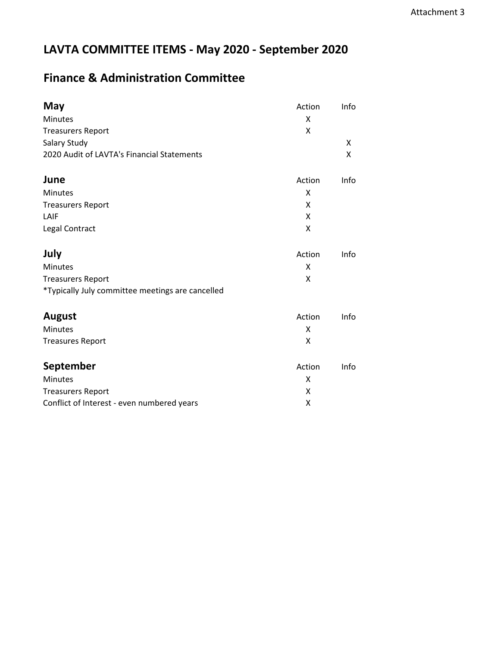## **LAVTA COMMITTEE ITEMS - May 2020 - September 2020**

## **Finance & Administration Committee**

| May                                              | Action | Info |
|--------------------------------------------------|--------|------|
| <b>Minutes</b>                                   | X      |      |
| <b>Treasurers Report</b>                         | X      |      |
| Salary Study                                     |        | X    |
| 2020 Audit of LAVTA's Financial Statements       |        | Χ    |
| June                                             | Action | Info |
| Minutes                                          | X      |      |
| <b>Treasurers Report</b>                         | X      |      |
| LAIF                                             | X      |      |
| Legal Contract                                   | X      |      |
| July                                             | Action | Info |
| <b>Minutes</b>                                   | x      |      |
| <b>Treasurers Report</b>                         | X      |      |
| *Typically July committee meetings are cancelled |        |      |
| <b>August</b>                                    | Action | Info |
| Minutes                                          | X      |      |
| <b>Treasures Report</b>                          | X      |      |
| September                                        | Action | Info |
| Minutes                                          | X      |      |
| <b>Treasurers Report</b>                         | X      |      |
| Conflict of Interest - even numbered years       | X      |      |